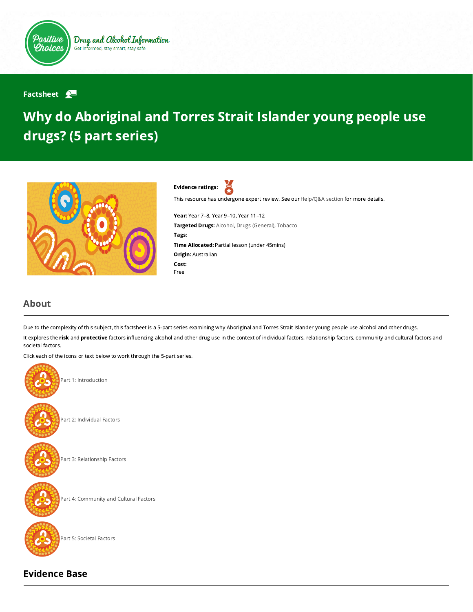

Drug and Alcohol Information Get informed, stay smart, stay safe

## Factsheet  $\mathbf{P}$

## Why do Aboriginal and Torres Strait Islander young people use drugs? (5 part series)





This resource has undergone expert review. See our [Help/Q&A section](https://positivechoices.org.au/help/questions-and-answers/) for more details.

Year: Year 7–8, Year 9–10, Year 11–12 Targeted Drugs: Alcohol, Drugs (General), Tobacco Tags: Time Allocated: Partial lesson (under 45mins) Origin: Australian Cost: Free

## About

Due to the complexity of this subject, this factsheet is a 5-part series examining why Aboriginal and Torres Strait Islander young people use alcohol and other drugs. It explores the risk and protective factors influencing alcohol and other drug use in the context of individual factors, relationship factors, community and cultural factors and societal factors.

Click each of the icons or text below to work through the 5-part series.



## Evidence Base